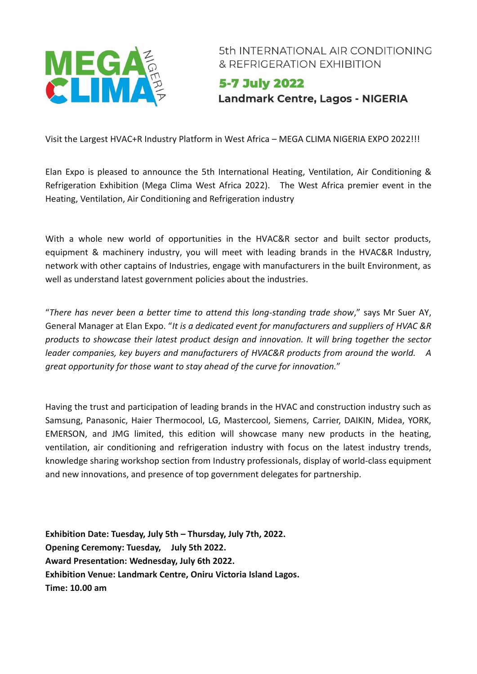

5th INTERNATIONAL AIR CONDITIONING & REFRIGERATION EXHIBITION

5-7 July 2022 **Landmark Centre, Lagos - NIGERIA** 

Visit the Largest HVAC+R Industry Platform in West Africa – MEGA CLIMA NIGERIA EXPO 2022!!!

Elan Expo is pleased to announce the 5th International Heating, Ventilation, Air Conditioning & Refrigeration Exhibition (Mega Clima West Africa 2022). The West Africa premier event in the Heating, Ventilation, Air Conditioning and Refrigeration industry

With a whole new world of opportunities in the HVAC&R sector and built sector products, equipment & machinery industry, you will meet with leading brands in the HVAC&R Industry, network with other captains of Industries, engage with manufacturers in the built Environment, as well as understand latest government policies about the industries.

"*There has never been a better time to attend this long-standing trade show*," says Mr Suer AY, General Manager at Elan Expo. "*It is a dedicated event for manufacturers and suppliers of HVAC &R products to showcase their latest product design and innovation. It will bring together the sector leader companies, key buyers and manufacturers of HVAC&R products from around the world. A great opportunity for those want to stay ahead of the curve for innovation.*"

Having the trust and participation of leading brands in the HVAC and construction industry such as Samsung, Panasonic, Haier Thermocool, LG, Mastercool, Siemens, Carrier, DAIKIN, Midea, YORK, EMERSON, and JMG limited, this edition will showcase many new products in the heating, ventilation, air conditioning and refrigeration industry with focus on the latest industry trends, knowledge sharing workshop section from Industry professionals, display of world-class equipment and new innovations, and presence of top government delegates for partnership.

**Exhibition Date: Tuesday, July 5th – Thursday, July 7th, 2022. Opening Ceremony: Tuesday, July 5th 2022. Award Presentation: Wednesday, July 6th 2022. Exhibition Venue: Landmark Centre, Oniru Victoria Island Lagos. Time: 10.00 am**